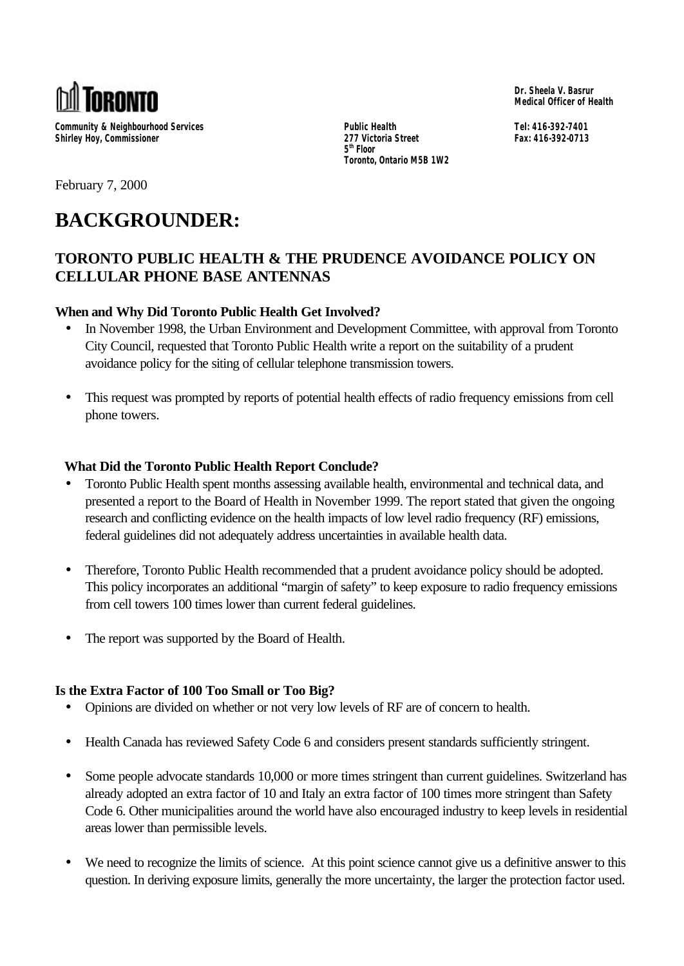

**Community & Neighbourhood Services Shirley Hoy, Commissioner**

**Dr. Sheela V. Basrur Medical Officer of Health**

**Public Health 277 Victoria Street 5 th Floor Toronto, Ontario M5B 1W2** **Tel: 416-392-7401 Fax: 416-392-0713**

February 7, 2000

# **BACKGROUNDER:**

# **TORONTO PUBLIC HEALTH & THE PRUDENCE AVOIDANCE POLICY ON CELLULAR PHONE BASE ANTENNAS**

## **When and Why Did Toronto Public Health Get Involved?**

- In November 1998, the Urban Environment and Development Committee, with approval from Toronto City Council, requested that Toronto Public Health write a report on the suitability of a prudent avoidance policy for the siting of cellular telephone transmission towers.
- This request was prompted by reports of potential health effects of radio frequency emissions from cell phone towers.

## **What Did the Toronto Public Health Report Conclude?**

- Toronto Public Health spent months assessing available health, environmental and technical data, and presented a report to the Board of Health in November 1999. The report stated that given the ongoing research and conflicting evidence on the health impacts of low level radio frequency (RF) emissions, federal guidelines did not adequately address uncertainties in available health data.
- Therefore, Toronto Public Health recommended that a prudent avoidance policy should be adopted. This policy incorporates an additional "margin of safety" to keep exposure to radio frequency emissions from cell towers 100 times lower than current federal guidelines.
- The report was supported by the Board of Health.

## **Is the Extra Factor of 100 Too Small or Too Big?**

- Opinions are divided on whether or not very low levels of RF are of concern to health.
- Health Canada has reviewed Safety Code 6 and considers present standards sufficiently stringent.
- Some people advocate standards 10,000 or more times stringent than current guidelines. Switzerland has already adopted an extra factor of 10 and Italy an extra factor of 100 times more stringent than Safety Code 6. Other municipalities around the world have also encouraged industry to keep levels in residential areas lower than permissible levels.
- We need to recognize the limits of science. At this point science cannot give us a definitive answer to this question. In deriving exposure limits, generally the more uncertainty, the larger the protection factor used.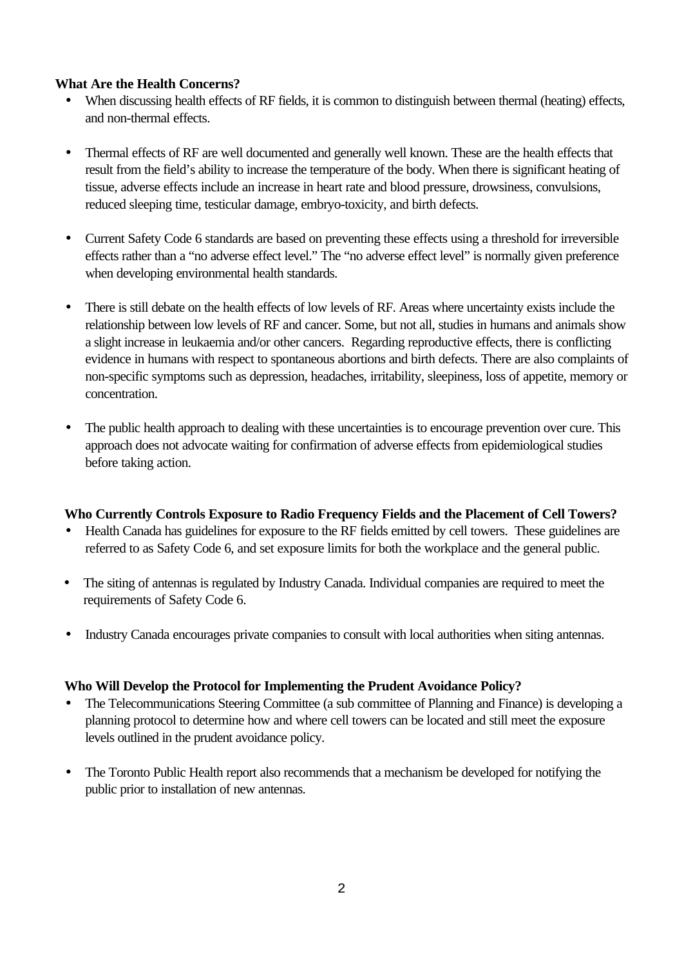#### **What Are the Health Concerns?**

- When discussing health effects of RF fields, it is common to distinguish between thermal (heating) effects, and non-thermal effects.
- Thermal effects of RF are well documented and generally well known. These are the health effects that result from the field's ability to increase the temperature of the body. When there is significant heating of tissue, adverse effects include an increase in heart rate and blood pressure, drowsiness, convulsions, reduced sleeping time, testicular damage, embryo-toxicity, and birth defects.
- Current Safety Code 6 standards are based on preventing these effects using a threshold for irreversible effects rather than a "no adverse effect level." The "no adverse effect level" is normally given preference when developing environmental health standards.
- There is still debate on the health effects of low levels of RF. Areas where uncertainty exists include the relationship between low levels of RF and cancer. Some, but not all, studies in humans and animals show a slight increase in leukaemia and/or other cancers. Regarding reproductive effects, there is conflicting evidence in humans with respect to spontaneous abortions and birth defects. There are also complaints of non-specific symptoms such as depression, headaches, irritability, sleepiness, loss of appetite, memory or concentration.
- The public health approach to dealing with these uncertainties is to encourage prevention over cure. This approach does not advocate waiting for confirmation of adverse effects from epidemiological studies before taking action.

#### **Who Currently Controls Exposure to Radio Frequency Fields and the Placement of Cell Towers?**

- Health Canada has guidelines for exposure to the RF fields emitted by cell towers. These guidelines are referred to as Safety Code 6, and set exposure limits for both the workplace and the general public.
- The siting of antennas is regulated by Industry Canada. Individual companies are required to meet the requirements of Safety Code 6.
- Industry Canada encourages private companies to consult with local authorities when siting antennas.

#### **Who Will Develop the Protocol for Implementing the Prudent Avoidance Policy?**

- The Telecommunications Steering Committee (a sub committee of Planning and Finance) is developing a planning protocol to determine how and where cell towers can be located and still meet the exposure levels outlined in the prudent avoidance policy.
- The Toronto Public Health report also recommends that a mechanism be developed for notifying the public prior to installation of new antennas.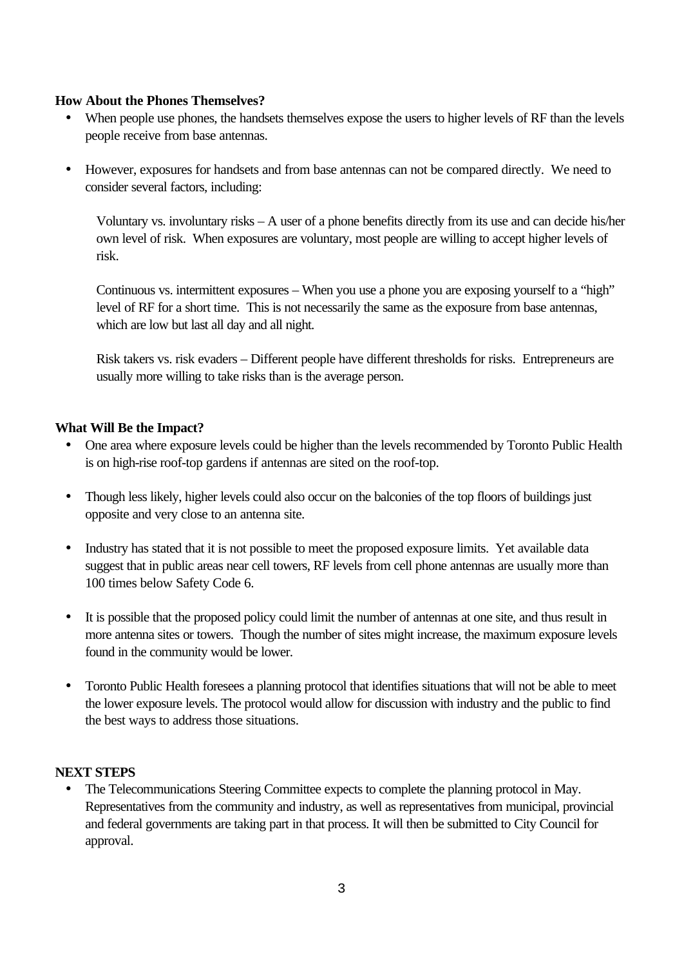#### **How About the Phones Themselves?**

- When people use phones, the handsets themselves expose the users to higher levels of RF than the levels people receive from base antennas.
- However, exposures for handsets and from base antennas can not be compared directly. We need to consider several factors, including:

Voluntary vs. involuntary risks – A user of a phone benefits directly from its use and can decide his/her own level of risk. When exposures are voluntary, most people are willing to accept higher levels of risk.

Continuous vs. intermittent exposures – When you use a phone you are exposing yourself to a "high" level of RF for a short time. This is not necessarily the same as the exposure from base antennas, which are low but last all day and all night.

Risk takers vs. risk evaders – Different people have different thresholds for risks. Entrepreneurs are usually more willing to take risks than is the average person.

#### **What Will Be the Impact?**

- One area where exposure levels could be higher than the levels recommended by Toronto Public Health is on high-rise roof-top gardens if antennas are sited on the roof-top.
- Though less likely, higher levels could also occur on the balconies of the top floors of buildings just opposite and very close to an antenna site.
- Industry has stated that it is not possible to meet the proposed exposure limits. Yet available data suggest that in public areas near cell towers, RF levels from cell phone antennas are usually more than 100 times below Safety Code 6.
- It is possible that the proposed policy could limit the number of antennas at one site, and thus result in more antenna sites or towers. Though the number of sites might increase, the maximum exposure levels found in the community would be lower.
- Toronto Public Health foresees a planning protocol that identifies situations that will not be able to meet the lower exposure levels. The protocol would allow for discussion with industry and the public to find the best ways to address those situations.

#### **NEXT STEPS**

• The Telecommunications Steering Committee expects to complete the planning protocol in May. Representatives from the community and industry, as well as representatives from municipal, provincial and federal governments are taking part in that process. It will then be submitted to City Council for approval.